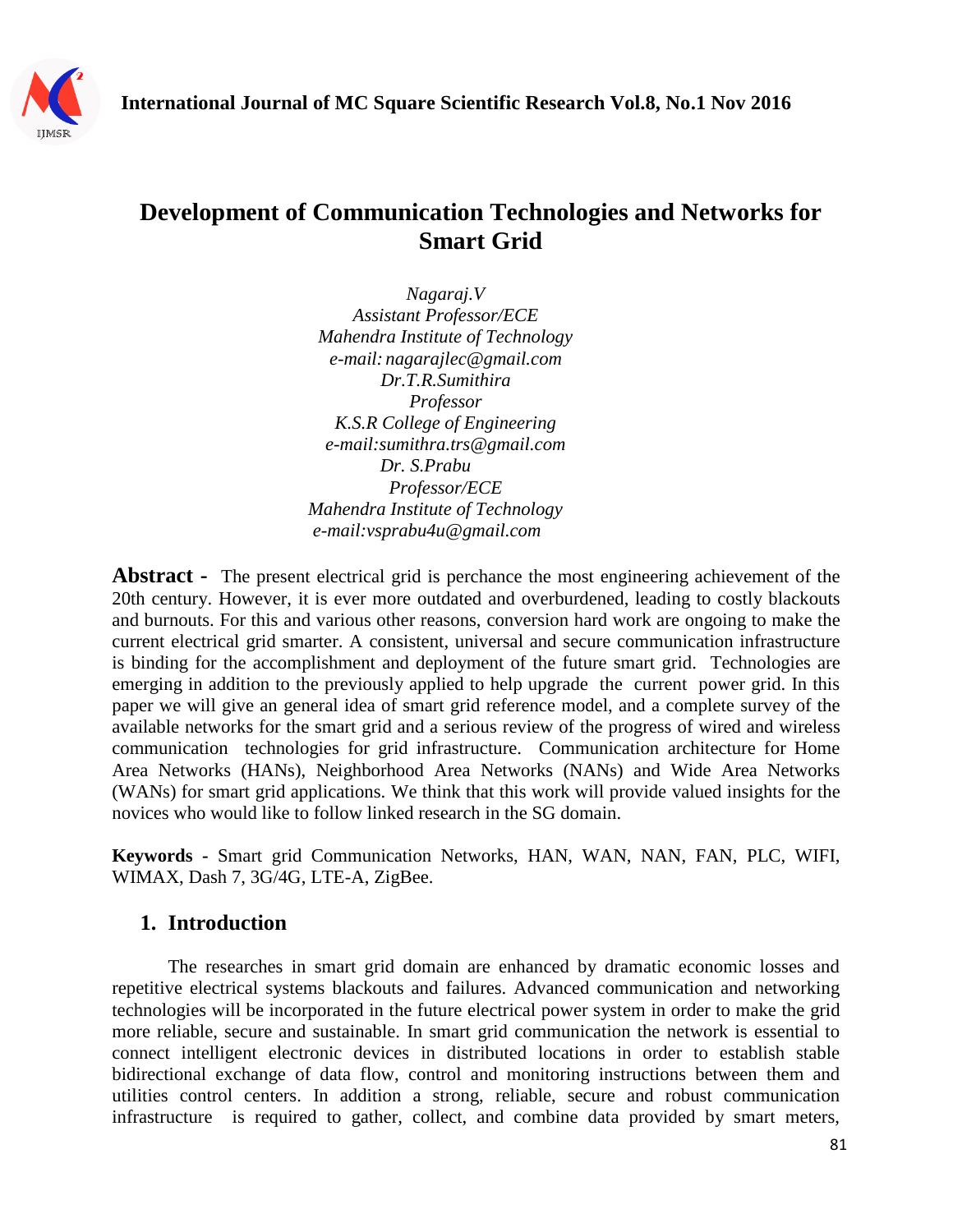

# **Development of Communication Technologies and Networks for Smart Grid**

*Nagaraj.V Assistant Professor/ECE Mahendra Institute of Technology e-mail: [nagarajlec@gmail.com](mailto:nagarajlec@gmail.com) Dr.T.R.Sumithira Professor K.S.R College of Engineering e-mail:sumithra.trs@gmail.com Dr. S.Prabu Professor/ECE Mahendra Institute of Technology e-mail:vsprabu4u@gmail.com*

**Abstract** - The present electrical grid is perchance the most engineering achievement of the 20th century. However, it is ever more outdated and overburdened, leading to costly blackouts and burnouts. For this and various other reasons, conversion hard work are ongoing to make the current electrical grid smarter. A consistent, universal and secure communication infrastructure is binding for the accomplishment and deployment of the future smart grid. Technologies are emerging in addition to the previously applied to help upgrade the current power grid. In this paper we will give an general idea of smart grid reference model, and a complete survey of the available networks for the smart grid and a serious review of the progress of wired and wireless communication technologies for grid infrastructure. Communication architecture for Home Area Networks (HANs), Neighborhood Area Networks (NANs) and Wide Area Networks (WANs) for smart grid applications. We think that this work will provide valued insights for the novices who would like to follow linked research in the SG domain.

**Keywords -** Smart grid Communication Networks, HAN, WAN, NAN, FAN, PLC, WIFI, WIMAX, Dash 7, 3G/4G, LTE-A, ZigBee.

# **1. Introduction**

The researches in smart grid domain are enhanced by dramatic economic losses and repetitive electrical systems blackouts and failures. Advanced communication and networking technologies will be incorporated in the future electrical power system in order to make the grid more reliable, secure and sustainable. In smart grid communication the network is essential to connect intelligent electronic devices in distributed locations in order to establish stable bidirectional exchange of data flow, control and monitoring instructions between them and utilities control centers. In addition a strong, reliable, secure and robust communication infrastructure is required to gather, collect, and combine data provided by smart meters,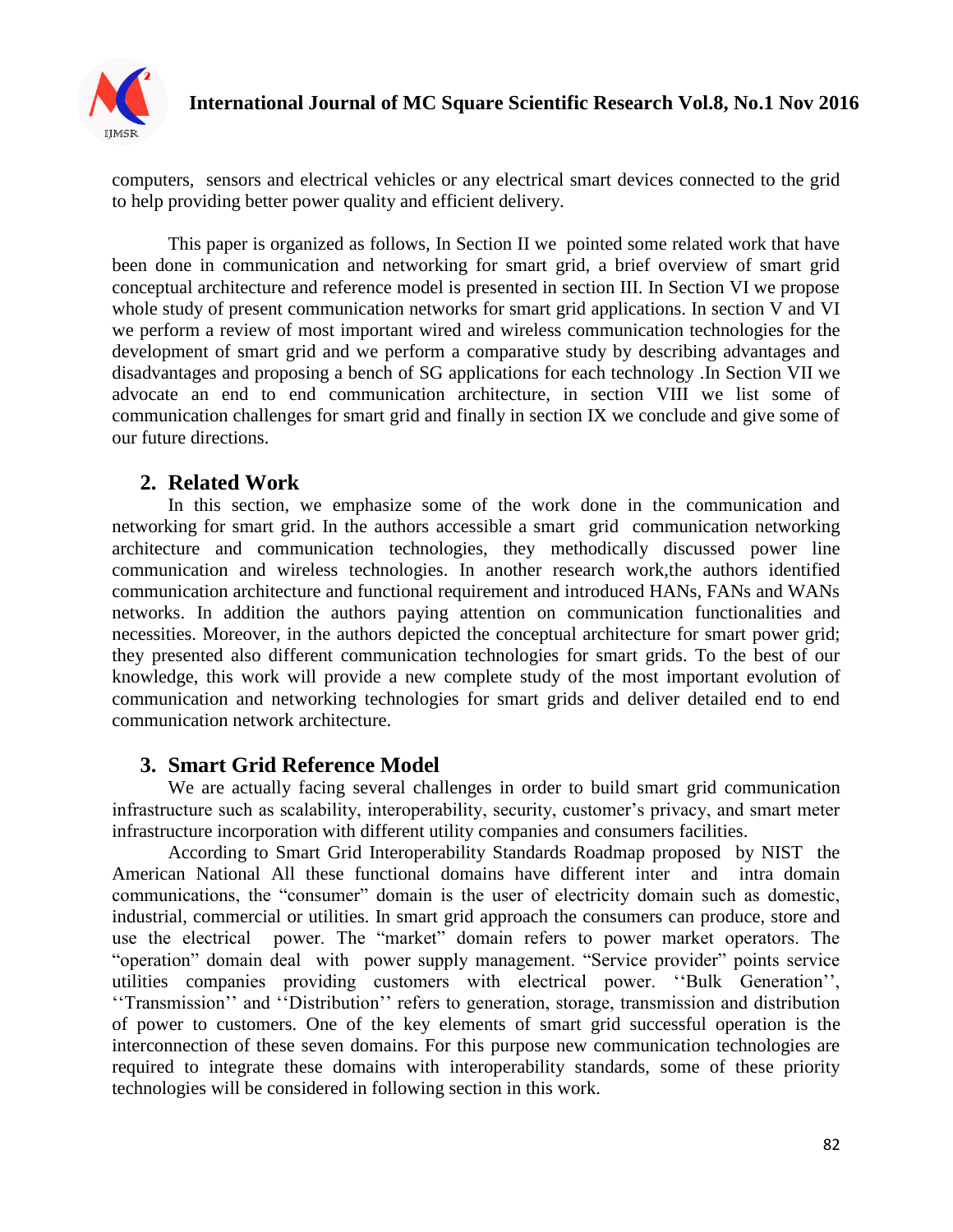

computers, sensors and electrical vehicles or any electrical smart devices connected to the grid to help providing better power quality and efficient delivery.

This paper is organized as follows, In Section II we pointed some related work that have been done in communication and networking for smart grid, a brief overview of smart grid conceptual architecture and reference model is presented in section III. In Section VI we propose whole study of present communication networks for smart grid applications. In section V and VI we perform a review of most important wired and wireless communication technologies for the development of smart grid and we perform a comparative study by describing advantages and disadvantages and proposing a bench of SG applications for each technology .In Section VII we advocate an end to end communication architecture, in section VIII we list some of communication challenges for smart grid and finally in section IX we conclude and give some of our future directions.

# **2. Related Work**

In this section, we emphasize some of the work done in the communication and networking for smart grid. In the authors accessible a smart grid communication networking architecture and communication technologies, they methodically discussed power line communication and wireless technologies. In another research work,the authors identified communication architecture and functional requirement and introduced HANs, FANs and WANs networks. In addition the authors paying attention on communication functionalities and necessities. Moreover, in the authors depicted the conceptual architecture for smart power grid; they presented also different communication technologies for smart grids. To the best of our knowledge, this work will provide a new complete study of the most important evolution of communication and networking technologies for smart grids and deliver detailed end to end communication network architecture.

# **3. Smart Grid Reference Model**

We are actually facing several challenges in order to build smart grid communication infrastructure such as scalability, interoperability, security, customer's privacy, and smart meter infrastructure incorporation with different utility companies and consumers facilities.

According to Smart Grid Interoperability Standards Roadmap proposed by NIST the American National All these functional domains have different inter and intra domain communications, the "consumer" domain is the user of electricity domain such as domestic, industrial, commercial or utilities. In smart grid approach the consumers can produce, store and use the electrical power. The "market" domain refers to power market operators. The "operation" domain deal with power supply management. "Service provider" points service utilities companies providing customers with electrical power. "Bulk Generation", ‗‗Transmission'' and ‗‗Distribution'' refers to generation, storage, transmission and distribution of power to customers. One of the key elements of smart grid successful operation is the interconnection of these seven domains. For this purpose new communication technologies are required to integrate these domains with interoperability standards, some of these priority technologies will be considered in following section in this work.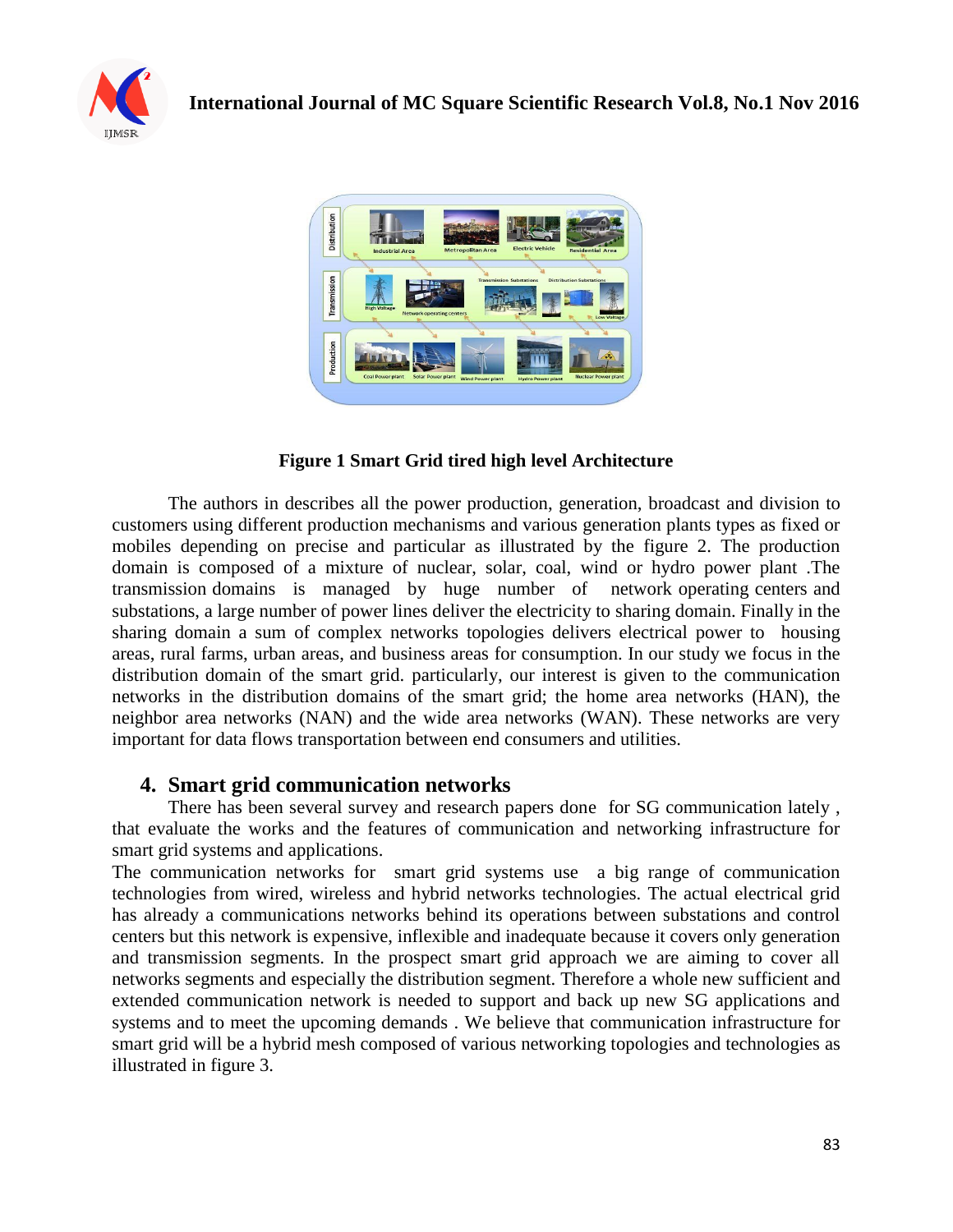



## **Figure 1 Smart Grid tired high level Architecture**

The authors in describes all the power production, generation, broadcast and division to customers using different production mechanisms and various generation plants types as fixed or mobiles depending on precise and particular as illustrated by the figure 2. The production domain is composed of a mixture of nuclear, solar, coal, wind or hydro power plant .The transmission domains is managed by huge number of network operating centers and substations, a large number of power lines deliver the electricity to sharing domain. Finally in the sharing domain a sum of complex networks topologies delivers electrical power to housing areas, rural farms, urban areas, and business areas for consumption. In our study we focus in the distribution domain of the smart grid. particularly, our interest is given to the communication networks in the distribution domains of the smart grid; the home area networks (HAN), the neighbor area networks (NAN) and the wide area networks (WAN). These networks are very important for data flows transportation between end consumers and utilities.

## **4. Smart grid communication networks**

There has been several survey and research papers done for SG communication lately , that evaluate the works and the features of communication and networking infrastructure for smart grid systems and applications.

The communication networks for smart grid systems use a big range of communication technologies from wired, wireless and hybrid networks technologies. The actual electrical grid has already a communications networks behind its operations between substations and control centers but this network is expensive, inflexible and inadequate because it covers only generation and transmission segments. In the prospect smart grid approach we are aiming to cover all networks segments and especially the distribution segment. Therefore a whole new sufficient and extended communication network is needed to support and back up new SG applications and systems and to meet the upcoming demands . We believe that communication infrastructure for smart grid will be a hybrid mesh composed of various networking topologies and technologies as illustrated in figure 3.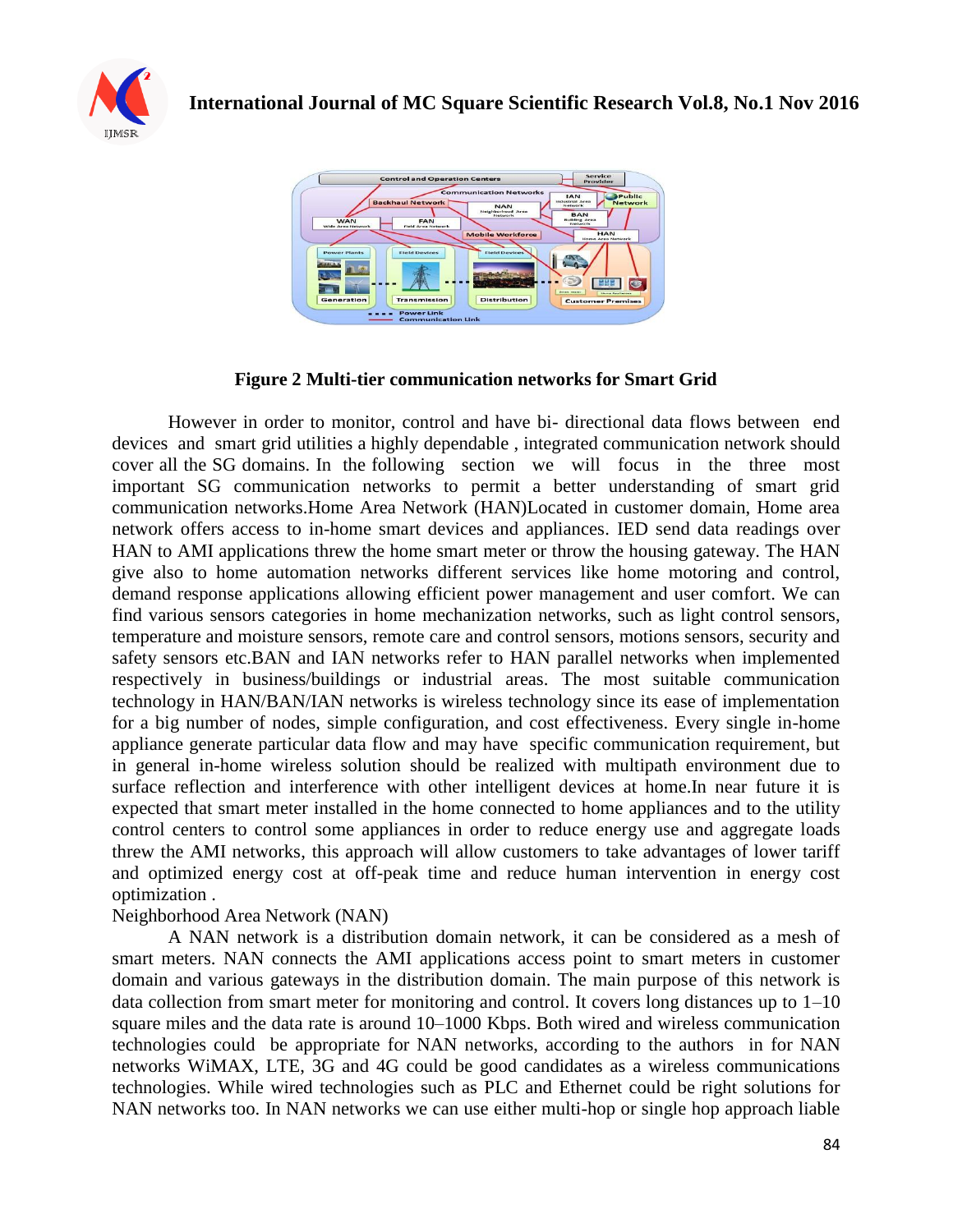



## **Figure 2 Multi-tier communication networks for Smart Grid**

However in order to monitor, control and have bi- directional data flows between end devices and smart grid utilities a highly dependable , integrated communication network should cover all the SG domains. In the following section we will focus in the three most important SG communication networks to permit a better understanding of smart grid communication networks.Home Area Network (HAN)Located in customer domain, Home area network offers access to in-home smart devices and appliances. IED send data readings over HAN to AMI applications threw the home smart meter or throw the housing gateway. The HAN give also to home automation networks different services like home motoring and control, demand response applications allowing efficient power management and user comfort. We can find various sensors categories in home mechanization networks, such as light control sensors, temperature and moisture sensors, remote care and control sensors, motions sensors, security and safety sensors etc.BAN and IAN networks refer to HAN parallel networks when implemented respectively in business/buildings or industrial areas. The most suitable communication technology in HAN/BAN/IAN networks is wireless technology since its ease of implementation for a big number of nodes, simple configuration, and cost effectiveness. Every single in-home appliance generate particular data flow and may have specific communication requirement, but in general in-home wireless solution should be realized with multipath environment due to surface reflection and interference with other intelligent devices at home.In near future it is expected that smart meter installed in the home connected to home appliances and to the utility control centers to control some appliances in order to reduce energy use and aggregate loads threw the AMI networks, this approach will allow customers to take advantages of lower tariff and optimized energy cost at off-peak time and reduce human intervention in energy cost optimization .

#### Neighborhood Area Network (NAN)

A NAN network is a distribution domain network, it can be considered as a mesh of smart meters. NAN connects the AMI applications access point to smart meters in customer domain and various gateways in the distribution domain. The main purpose of this network is data collection from smart meter for monitoring and control. It covers long distances up to 1–10 square miles and the data rate is around 10–1000 Kbps. Both wired and wireless communication technologies could be appropriate for NAN networks, according to the authors in for NAN networks WiMAX, LTE, 3G and 4G could be good candidates as a wireless communications technologies. While wired technologies such as PLC and Ethernet could be right solutions for NAN networks too. In NAN networks we can use either multi-hop or single hop approach liable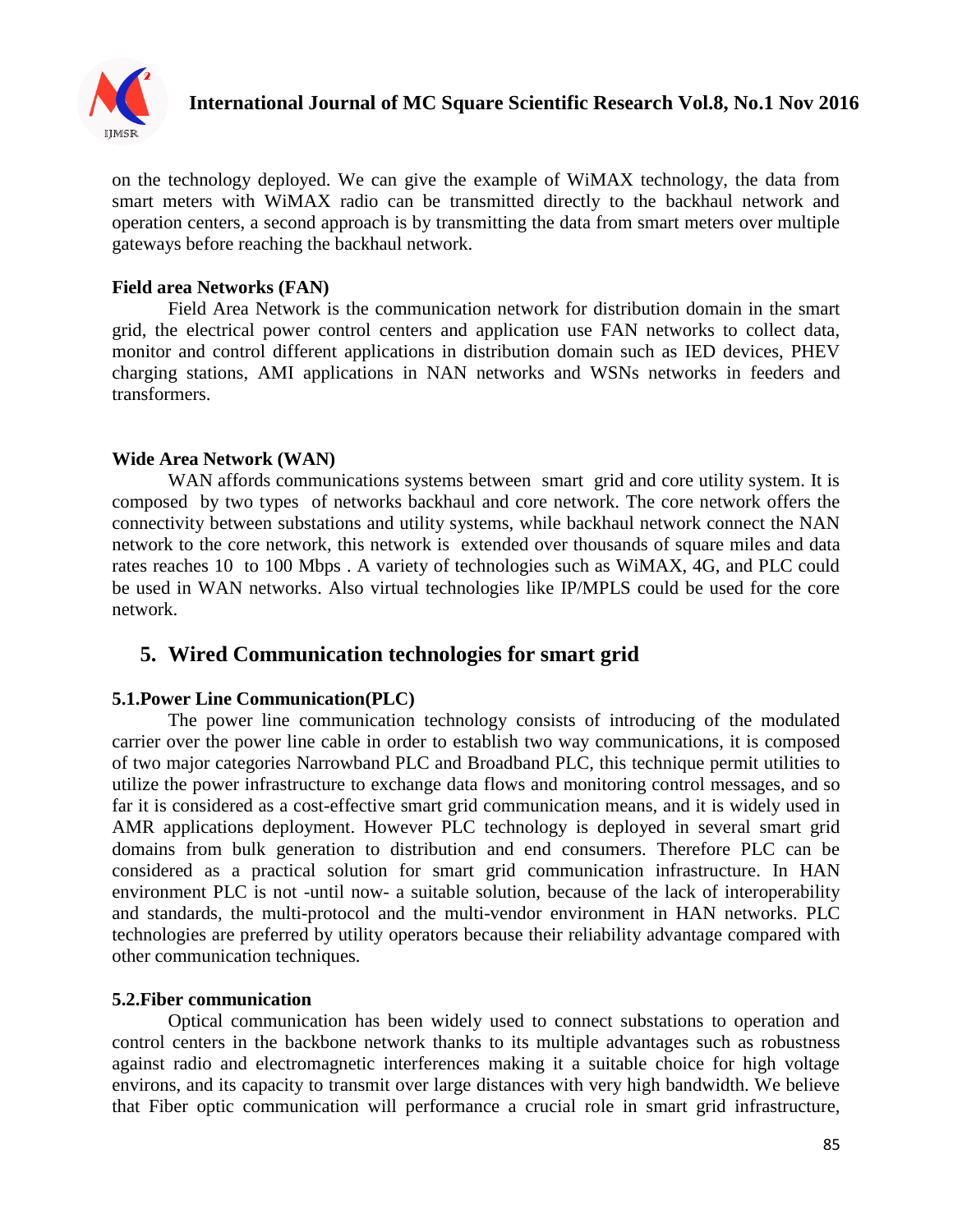

on the technology deployed. We can give the example of WiMAX technology, the data from smart meters with WiMAX radio can be transmitted directly to the backhaul network and operation centers, a second approach is by transmitting the data from smart meters over multiple gateways before reaching the backhaul network.

### **Field area Networks (FAN)**

Field Area Network is the communication network for distribution domain in the smart grid, the electrical power control centers and application use FAN networks to collect data, monitor and control different applications in distribution domain such as IED devices, PHEV charging stations, AMI applications in NAN networks and WSNs networks in feeders and transformers.

## **Wide Area Network (WAN)**

WAN affords communications systems between smart grid and core utility system. It is composed by two types of networks backhaul and core network. The core network offers the connectivity between substations and utility systems, while backhaul network connect the NAN network to the core network, this network is extended over thousands of square miles and data rates reaches 10 to 100 Mbps . A variety of technologies such as WiMAX, 4G, and PLC could be used in WAN networks. Also virtual technologies like IP/MPLS could be used for the core network.

# **5. Wired Communication technologies for smart grid**

#### **5.1.Power Line Communication(PLC)**

The power line communication technology consists of introducing of the modulated carrier over the power line cable in order to establish two way communications, it is composed of two major categories Narrowband PLC and Broadband PLC, this technique permit utilities to utilize the power infrastructure to exchange data flows and monitoring control messages, and so far it is considered as a cost-effective smart grid communication means, and it is widely used in AMR applications deployment. However PLC technology is deployed in several smart grid domains from bulk generation to distribution and end consumers. Therefore PLC can be considered as a practical solution for smart grid communication infrastructure. In HAN environment PLC is not -until now- a suitable solution, because of the lack of interoperability and standards, the multi-protocol and the multi-vendor environment in HAN networks. PLC technologies are preferred by utility operators because their reliability advantage compared with other communication techniques.

#### **5.2.Fiber communication**

Optical communication has been widely used to connect substations to operation and control centers in the backbone network thanks to its multiple advantages such as robustness against radio and electromagnetic interferences making it a suitable choice for high voltage environs, and its capacity to transmit over large distances with very high bandwidth. We believe that Fiber optic communication will performance a crucial role in smart grid infrastructure,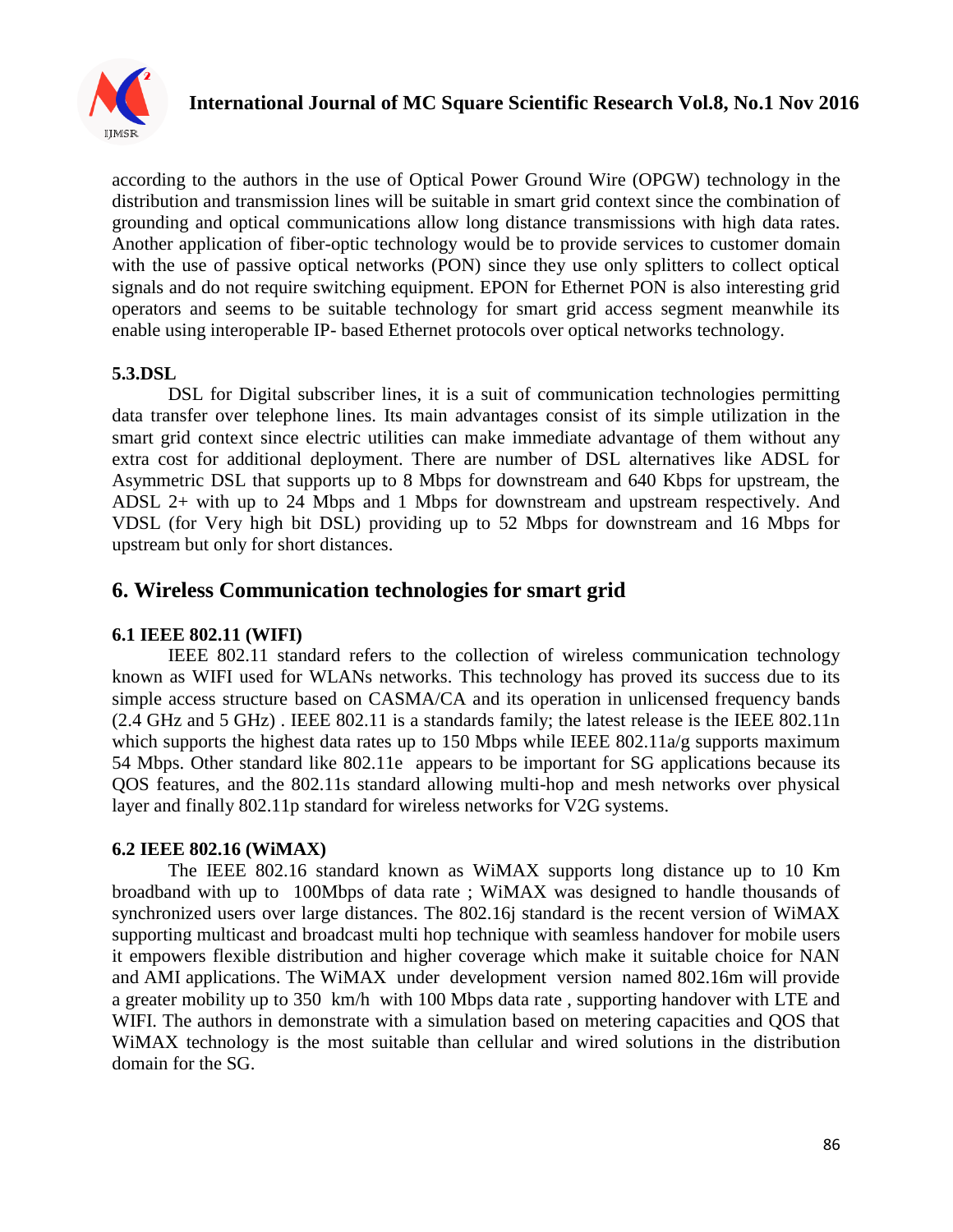

according to the authors in the use of Optical Power Ground Wire (OPGW) technology in the distribution and transmission lines will be suitable in smart grid context since the combination of grounding and optical communications allow long distance transmissions with high data rates. Another application of fiber-optic technology would be to provide services to customer domain with the use of passive optical networks (PON) since they use only splitters to collect optical signals and do not require switching equipment. EPON for Ethernet PON is also interesting grid operators and seems to be suitable technology for smart grid access segment meanwhile its enable using interoperable IP- based Ethernet protocols over optical networks technology.

#### **5.3.DSL**

DSL for Digital subscriber lines, it is a suit of communication technologies permitting data transfer over telephone lines. Its main advantages consist of its simple utilization in the smart grid context since electric utilities can make immediate advantage of them without any extra cost for additional deployment. There are number of DSL alternatives like ADSL for Asymmetric DSL that supports up to 8 Mbps for downstream and 640 Kbps for upstream, the ADSL 2+ with up to 24 Mbps and 1 Mbps for downstream and upstream respectively. And VDSL (for Very high bit DSL) providing up to 52 Mbps for downstream and 16 Mbps for upstream but only for short distances.

# **6. Wireless Communication technologies for smart grid**

#### **6.1 IEEE 802.11 (WIFI)**

IEEE 802.11 standard refers to the collection of wireless communication technology known as WIFI used for WLANs networks. This technology has proved its success due to its simple access structure based on CASMA/CA and its operation in unlicensed frequency bands (2.4 GHz and 5 GHz) . IEEE 802.11 is a standards family; the latest release is the IEEE 802.11n which supports the highest data rates up to 150 Mbps while IEEE 802.11a/g supports maximum 54 Mbps. Other standard like 802.11e appears to be important for SG applications because its QOS features, and the 802.11s standard allowing multi-hop and mesh networks over physical layer and finally 802.11p standard for wireless networks for V2G systems.

#### **6.2 IEEE 802.16 (WiMAX)**

The IEEE 802.16 standard known as WiMAX supports long distance up to 10 Km broadband with up to 100Mbps of data rate ; WiMAX was designed to handle thousands of synchronized users over large distances. The 802.16j standard is the recent version of WiMAX supporting multicast and broadcast multi hop technique with seamless handover for mobile users it empowers flexible distribution and higher coverage which make it suitable choice for NAN and AMI applications. The WiMAX under development version named 802.16m will provide a greater mobility up to 350 km/h with 100 Mbps data rate , supporting handover with LTE and WIFI. The authors in demonstrate with a simulation based on metering capacities and QOS that WiMAX technology is the most suitable than cellular and wired solutions in the distribution domain for the SG.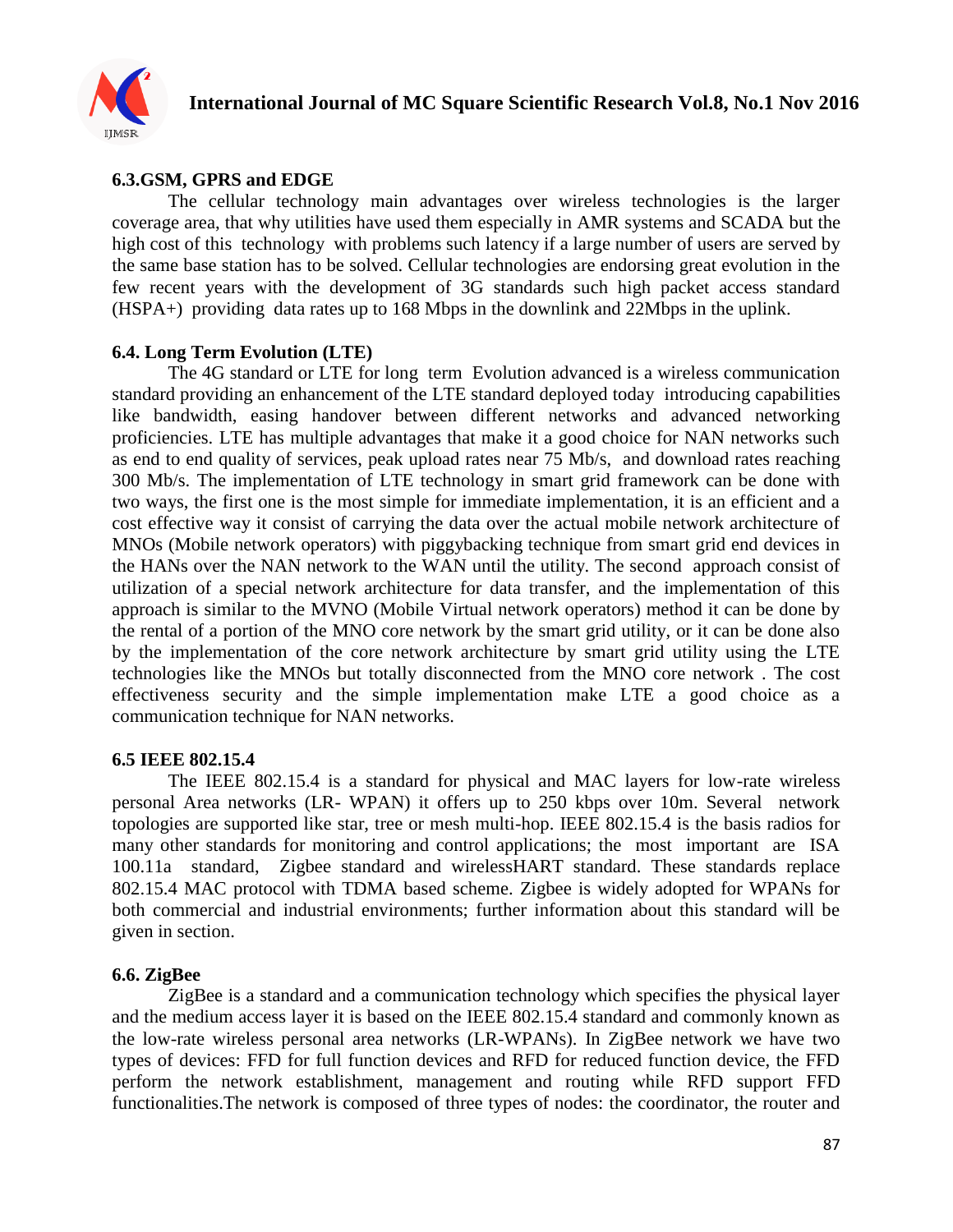

## **6.3.GSM, GPRS and EDGE**

The cellular technology main advantages over wireless technologies is the larger coverage area, that why utilities have used them especially in AMR systems and SCADA but the high cost of this technology with problems such latency if a large number of users are served by the same base station has to be solved. Cellular technologies are endorsing great evolution in the few recent years with the development of 3G standards such high packet access standard (HSPA+) providing data rates up to 168 Mbps in the downlink and 22Mbps in the uplink.

## **6.4. Long Term Evolution (LTE)**

The 4G standard or LTE for long term Evolution advanced is a wireless communication standard providing an enhancement of the LTE standard deployed today introducing capabilities like bandwidth, easing handover between different networks and advanced networking proficiencies. LTE has multiple advantages that make it a good choice for NAN networks such as end to end quality of services, peak upload rates near 75 Mb/s, and download rates reaching 300 Mb/s. The implementation of LTE technology in smart grid framework can be done with two ways, the first one is the most simple for immediate implementation, it is an efficient and a cost effective way it consist of carrying the data over the actual mobile network architecture of MNOs (Mobile network operators) with piggybacking technique from smart grid end devices in the HANs over the NAN network to the WAN until the utility. The second approach consist of utilization of a special network architecture for data transfer, and the implementation of this approach is similar to the MVNO (Mobile Virtual network operators) method it can be done by the rental of a portion of the MNO core network by the smart grid utility, or it can be done also by the implementation of the core network architecture by smart grid utility using the LTE technologies like the MNOs but totally disconnected from the MNO core network . The cost effectiveness security and the simple implementation make LTE a good choice as a communication technique for NAN networks.

#### **6.5 IEEE 802.15.4**

The IEEE 802.15.4 is a standard for physical and MAC layers for low-rate wireless personal Area networks (LR- WPAN) it offers up to 250 kbps over 10m. Several network topologies are supported like star, tree or mesh multi-hop. IEEE 802.15.4 is the basis radios for many other standards for monitoring and control applications; the most important are ISA 100.11a standard, Zigbee standard and wirelessHART standard. These standards replace 802.15.4 MAC protocol with TDMA based scheme. Zigbee is widely adopted for WPANs for both commercial and industrial environments; further information about this standard will be given in section.

## **6.6. ZigBee**

ZigBee is a standard and a communication technology which specifies the physical layer and the medium access layer it is based on the IEEE 802.15.4 standard and commonly known as the low-rate wireless personal area networks (LR-WPANs). In ZigBee network we have two types of devices: FFD for full function devices and RFD for reduced function device, the FFD perform the network establishment, management and routing while RFD support FFD functionalities.The network is composed of three types of nodes: the coordinator, the router and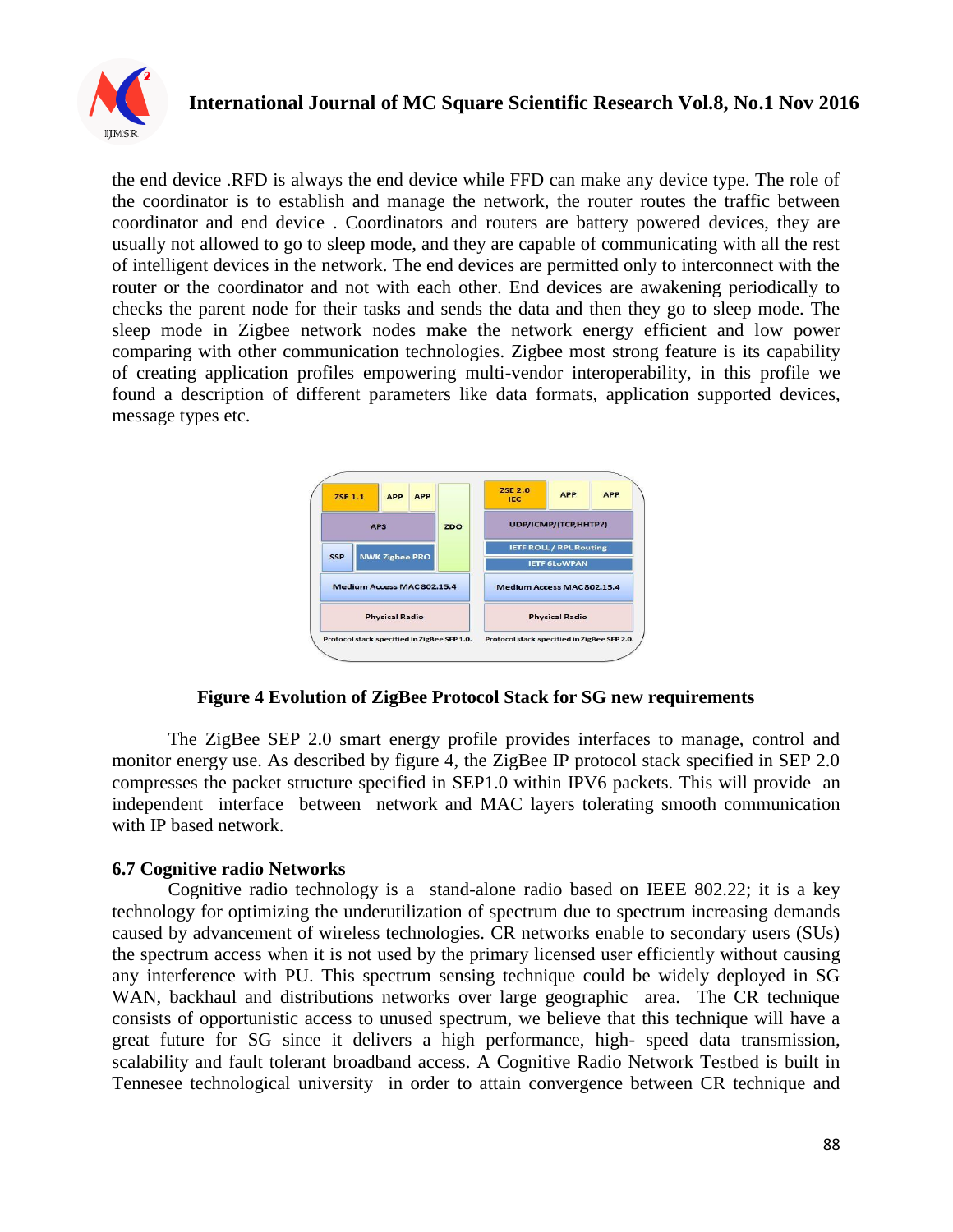

## **International Journal of MC Square Scientific Research Vol.8, No.1 Nov 2016**

the end device .RFD is always the end device while FFD can make any device type. The role of the coordinator is to establish and manage the network, the router routes the traffic between coordinator and end device . Coordinators and routers are battery powered devices, they are usually not allowed to go to sleep mode, and they are capable of communicating with all the rest of intelligent devices in the network. The end devices are permitted only to interconnect with the router or the coordinator and not with each other. End devices are awakening periodically to checks the parent node for their tasks and sends the data and then they go to sleep mode. The sleep mode in Zigbee network nodes make the network energy efficient and low power comparing with other communication technologies. Zigbee most strong feature is its capability of creating application profiles empowering multi-vendor interoperability, in this profile we found a description of different parameters like data formats, application supported devices, message types etc.



#### **Figure 4 Evolution of ZigBee Protocol Stack for SG new requirements**

The ZigBee SEP 2.0 smart energy profile provides interfaces to manage, control and monitor energy use. As described by figure 4, the ZigBee IP protocol stack specified in SEP 2.0 compresses the packet structure specified in SEP1.0 within IPV6 packets. This will provide an independent interface between network and MAC layers tolerating smooth communication with IP based network.

#### **6.7 Cognitive radio Networks**

Cognitive radio technology is a stand-alone radio based on IEEE 802.22; it is a key technology for optimizing the underutilization of spectrum due to spectrum increasing demands caused by advancement of wireless technologies. CR networks enable to secondary users (SUs) the spectrum access when it is not used by the primary licensed user efficiently without causing any interference with PU. This spectrum sensing technique could be widely deployed in SG WAN, backhaul and distributions networks over large geographic area. The CR technique consists of opportunistic access to unused spectrum, we believe that this technique will have a great future for SG since it delivers a high performance, high- speed data transmission, scalability and fault tolerant broadband access. A Cognitive Radio Network Testbed is built in Tennesee technological university in order to attain convergence between CR technique and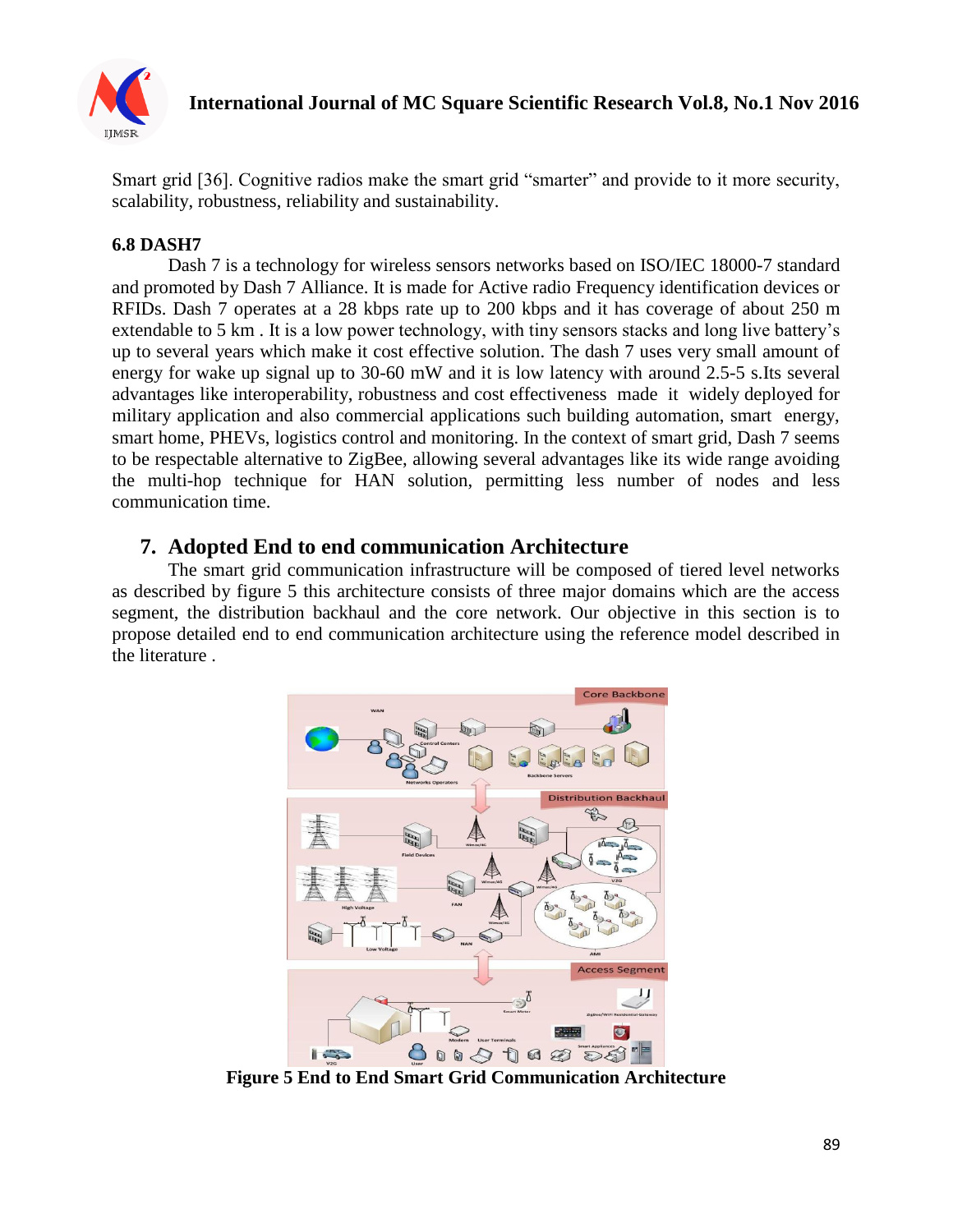

Smart grid [36]. Cognitive radios make the smart grid "smarter" and provide to it more security, scalability, robustness, reliability and sustainability.

## **6.8 DASH7**

Dash 7 is a technology for wireless sensors networks based on ISO/IEC 18000-7 standard and promoted by Dash 7 Alliance. It is made for Active radio Frequency identification devices or RFIDs. Dash 7 operates at a 28 kbps rate up to 200 kbps and it has coverage of about 250 m extendable to 5 km . It is a low power technology, with tiny sensors stacks and long live battery's up to several years which make it cost effective solution. The dash 7 uses very small amount of energy for wake up signal up to 30-60 mW and it is low latency with around 2.5-5 s.Its several advantages like interoperability, robustness and cost effectiveness made it widely deployed for military application and also commercial applications such building automation, smart energy, smart home, PHEVs, logistics control and monitoring. In the context of smart grid, Dash 7 seems to be respectable alternative to ZigBee, allowing several advantages like its wide range avoiding the multi-hop technique for HAN solution, permitting less number of nodes and less communication time.

# **7. Adopted End to end communication Architecture**

The smart grid communication infrastructure will be composed of tiered level networks as described by figure 5 this architecture consists of three major domains which are the access segment, the distribution backhaul and the core network. Our objective in this section is to propose detailed end to end communication architecture using the reference model described in the literature .



**Figure 5 End to End Smart Grid Communication Architecture**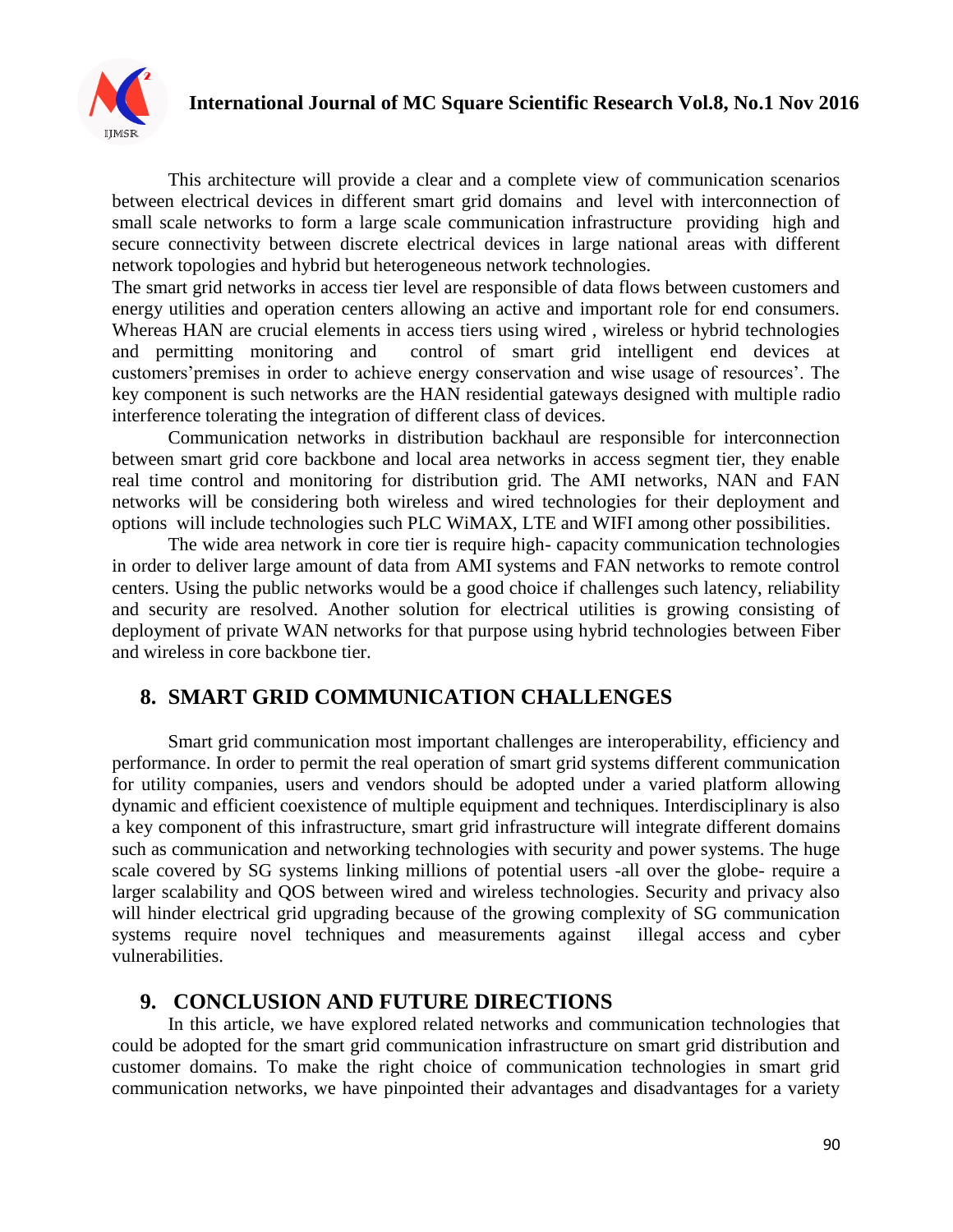

This architecture will provide a clear and a complete view of communication scenarios between electrical devices in different smart grid domains and level with interconnection of small scale networks to form a large scale communication infrastructure providing high and secure connectivity between discrete electrical devices in large national areas with different network topologies and hybrid but heterogeneous network technologies.

The smart grid networks in access tier level are responsible of data flows between customers and energy utilities and operation centers allowing an active and important role for end consumers. Whereas HAN are crucial elements in access tiers using wired , wireless or hybrid technologies and permitting monitoring and control of smart grid intelligent end devices at customers'premises in order to achieve energy conservation and wise usage of resources'. The key component is such networks are the HAN residential gateways designed with multiple radio interference tolerating the integration of different class of devices.

Communication networks in distribution backhaul are responsible for interconnection between smart grid core backbone and local area networks in access segment tier, they enable real time control and monitoring for distribution grid. The AMI networks, NAN and FAN networks will be considering both wireless and wired technologies for their deployment and options will include technologies such PLC WiMAX, LTE and WIFI among other possibilities.

The wide area network in core tier is require high- capacity communication technologies in order to deliver large amount of data from AMI systems and FAN networks to remote control centers. Using the public networks would be a good choice if challenges such latency, reliability and security are resolved. Another solution for electrical utilities is growing consisting of deployment of private WAN networks for that purpose using hybrid technologies between Fiber and wireless in core backbone tier.

# **8. SMART GRID COMMUNICATION CHALLENGES**

Smart grid communication most important challenges are interoperability, efficiency and performance. In order to permit the real operation of smart grid systems different communication for utility companies, users and vendors should be adopted under a varied platform allowing dynamic and efficient coexistence of multiple equipment and techniques. Interdisciplinary is also a key component of this infrastructure, smart grid infrastructure will integrate different domains such as communication and networking technologies with security and power systems. The huge scale covered by SG systems linking millions of potential users -all over the globe- require a larger scalability and QOS between wired and wireless technologies. Security and privacy also will hinder electrical grid upgrading because of the growing complexity of SG communication systems require novel techniques and measurements against illegal access and cyber vulnerabilities.

# **9. CONCLUSION AND FUTURE DIRECTIONS**

In this article, we have explored related networks and communication technologies that could be adopted for the smart grid communication infrastructure on smart grid distribution and customer domains. To make the right choice of communication technologies in smart grid communication networks, we have pinpointed their advantages and disadvantages for a variety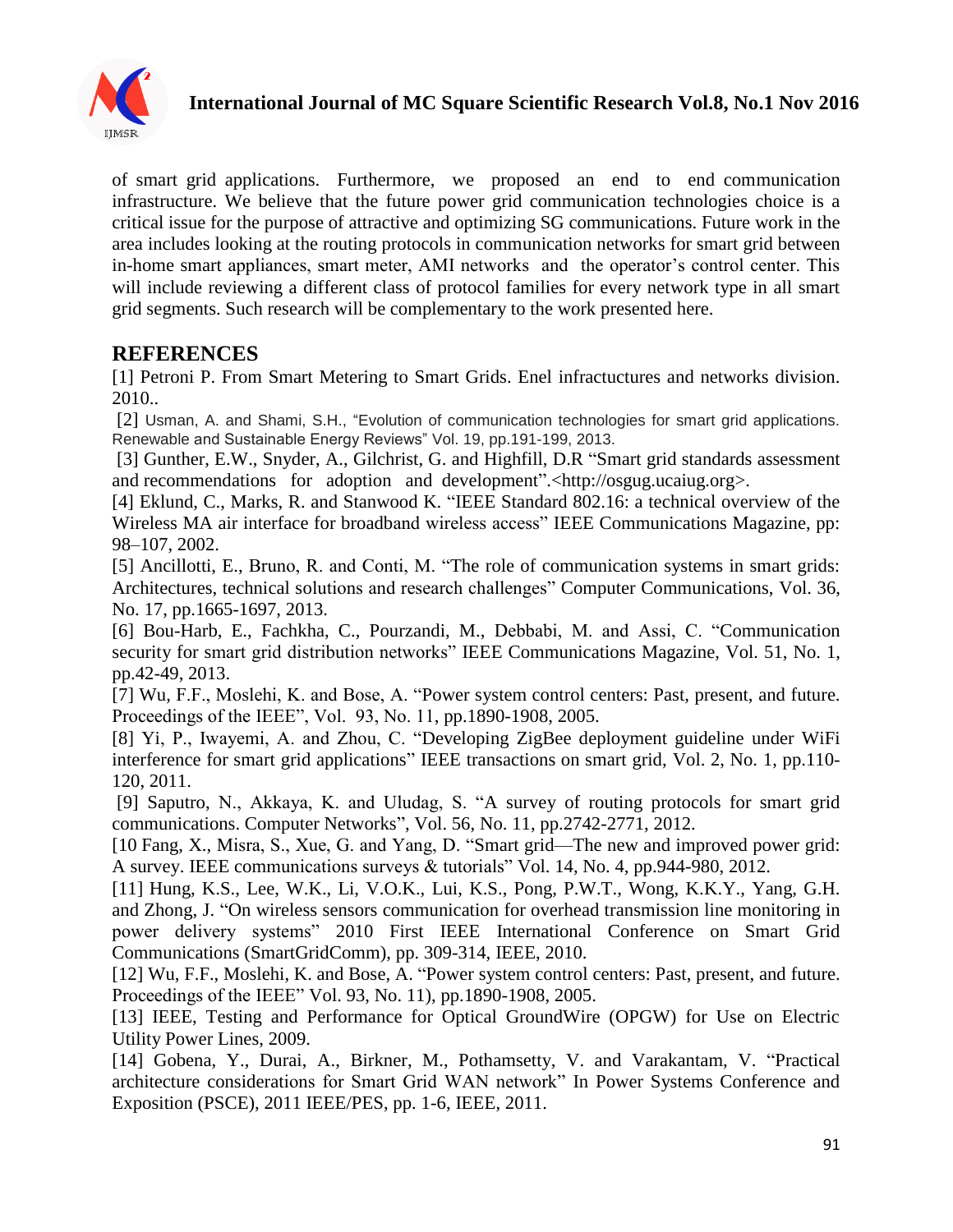

# **International Journal of MC Square Scientific Research Vol.8, No.1 Nov 2016**

of smart grid applications. Furthermore, we proposed an end to end communication infrastructure. We believe that the future power grid communication technologies choice is a critical issue for the purpose of attractive and optimizing SG communications. Future work in the area includes looking at the routing protocols in communication networks for smart grid between in-home smart appliances, smart meter, AMI networks and the operator's control center. This will include reviewing a different class of protocol families for every network type in all smart grid segments. Such research will be complementary to the work presented here.

# **REFERENCES**

[1] Petroni P. From Smart Metering to Smart Grids. Enel infractuctures and networks division. 2010..

[2] Usman, A. and Shami, S.H., "Evolution of communication technologies for smart grid applications. Renewable and Sustainable Energy Reviews" Vol. 19, pp.191-199, 2013.

[3] Gunther, E.W., Snyder, A., Gilchrist, G. and Highfill, D.R "Smart grid standards assessment and recommendations for adoption and development".<http://osgug.ucaiug.org>.

[4] Eklund, C., Marks, R. and Stanwood K. "IEEE Standard 802.16: a technical overview of the Wireless MA air interface for broadband wireless access" IEEE Communications Magazine, pp: 98–107, 2002.

[5] Ancillotti, E., Bruno, R. and Conti, M. "The role of communication systems in smart grids: Architectures, technical solutions and research challenges" Computer Communications, Vol. 36, No. 17, pp.1665-1697, 2013.

[6] Bou-Harb, E., Fachkha, C., Pourzandi, M., Debbabi, M. and Assi, C. "Communication security for smart grid distribution networks" IEEE Communications Magazine, Vol. 51, No. 1, pp.42-49, 2013.

[7] Wu, F.F., Moslehi, K. and Bose, A. "Power system control centers: Past, present, and future. Proceedings of the IEEE", Vol. 93, No. 11, pp.1890-1908, 2005.

[8] Yi, P., Iwayemi, A. and Zhou, C. "Developing ZigBee deployment guideline under WiFi interference for smart grid applications" IEEE transactions on smart grid, Vol. 2, No. 1, pp.110-120, 2011.

[9] Saputro, N., Akkaya, K. and Uludag, S. "A survey of routing protocols for smart grid communications. Computer Networks", Vol. 56, No. 11, pp.2742-2771, 2012.

[10 Fang, X., Misra, S., Xue, G. and Yang, D. "Smart grid—The new and improved power grid: A survey. IEEE communications surveys & tutorials" Vol. 14, No. 4, pp.944-980, 2012.

[11] Hung, K.S., Lee, W.K., Li, V.O.K., Lui, K.S., Pong, P.W.T., Wong, K.K.Y., Yang, G.H. and Zhong, J. "On wireless sensors communication for overhead transmission line monitoring in power delivery systems" 2010 First IEEE International Conference on Smart Grid Communications (SmartGridComm), pp. 309-314, IEEE, 2010.

[12] Wu, F.F., Moslehi, K. and Bose, A. "Power system control centers: Past, present, and future. Proceedings of the IEEE" Vol. 93, No. 11), pp.1890-1908, 2005.

[13] IEEE, Testing and Performance for Optical GroundWire (OPGW) for Use on Electric Utility Power Lines, 2009.

[14] Gobena, Y., Durai, A., Birkner, M., Pothamsetty, V. and Varakantam, V. "Practical architecture considerations for Smart Grid WAN network" In Power Systems Conference and Exposition (PSCE), 2011 IEEE/PES, pp. 1-6, IEEE, 2011.